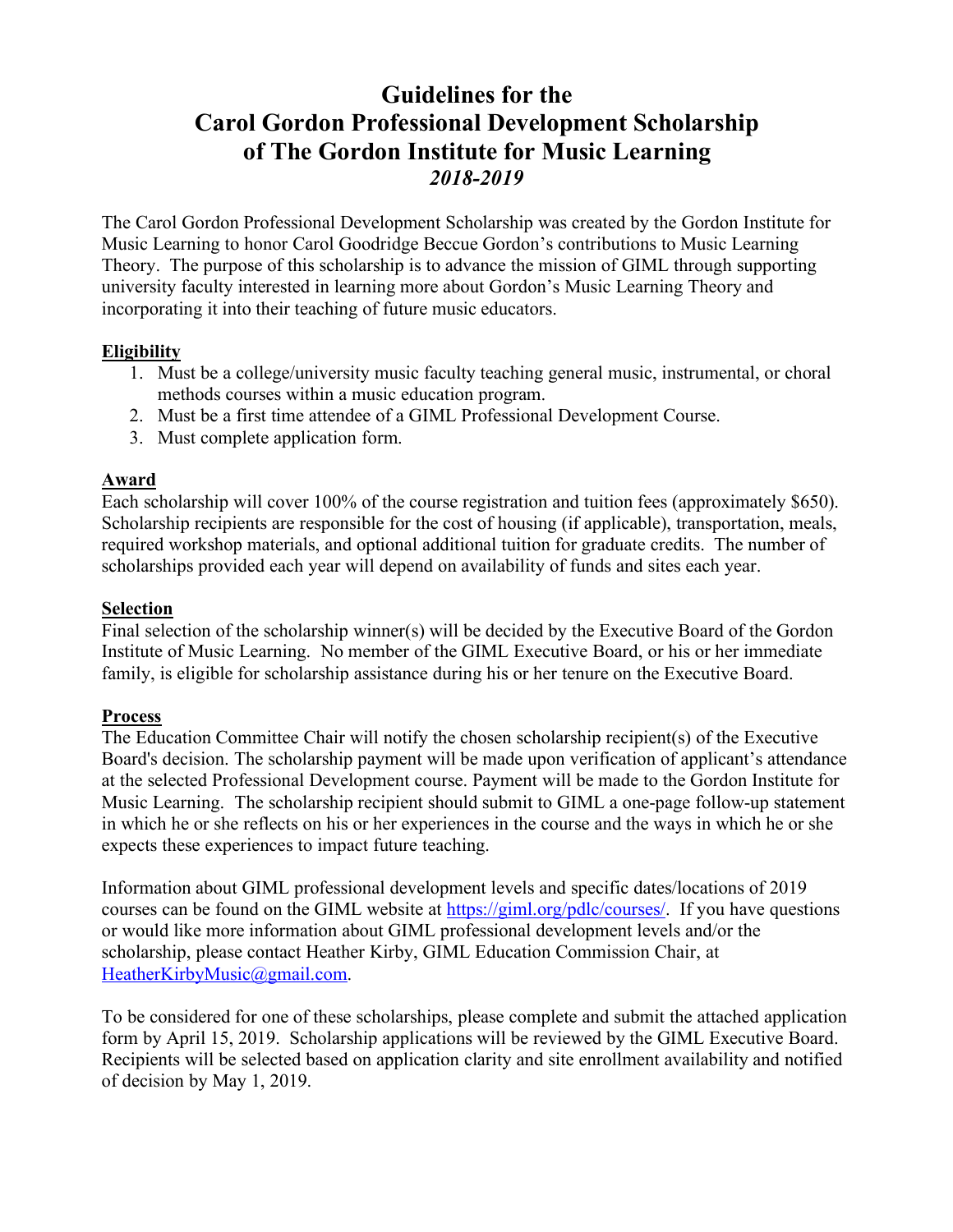# **Guidelines for the Carol Gordon Professional Development Scholarship of The Gordon Institute for Music Learning** *2018-2019*

The Carol Gordon Professional Development Scholarship was created by the Gordon Institute for Music Learning to honor Carol Goodridge Beccue Gordon's contributions to Music Learning Theory. The purpose of this scholarship is to advance the mission of GIML through supporting university faculty interested in learning more about Gordon's Music Learning Theory and incorporating it into their teaching of future music educators.

### **Eligibility**

- 1. Must be a college/university music faculty teaching general music, instrumental, or choral methods courses within a music education program.
- 2. Must be a first time attendee of a GIML Professional Development Course.
- 3. Must complete application form.

#### **Award**

Each scholarship will cover 100% of the course registration and tuition fees (approximately \$650). Scholarship recipients are responsible for the cost of housing (if applicable), transportation, meals, required workshop materials, and optional additional tuition for graduate credits. The number of scholarships provided each year will depend on availability of funds and sites each year.

## **Selection**

Final selection of the scholarship winner(s) will be decided by the Executive Board of the Gordon Institute of Music Learning. No member of the GIML Executive Board, or his or her immediate family, is eligible for scholarship assistance during his or her tenure on the Executive Board.

## **Process**

The Education Committee Chair will notify the chosen scholarship recipient(s) of the Executive Board's decision. The scholarship payment will be made upon verification of applicant's attendance at the selected Professional Development course. Payment will be made to the Gordon Institute for Music Learning. The scholarship recipient should submit to GIML a one-page follow-up statement in which he or she reflects on his or her experiences in the course and the ways in which he or she expects these experiences to impact future teaching.

Information about GIML professional development levels and specific dates/locations of 2019 courses can be found on the GIML website at https://giml.org/pdlc/courses/. If you have questions or would like more information about GIML professional development levels and/or the scholarship, please contact Heather Kirby, GIML Education Commission Chair, at HeatherKirbyMusic@gmail.com.

To be considered for one of these scholarships, please complete and submit the attached application form by April 15, 2019. Scholarship applications will be reviewed by the GIML Executive Board. Recipients will be selected based on application clarity and site enrollment availability and notified of decision by May 1, 2019.